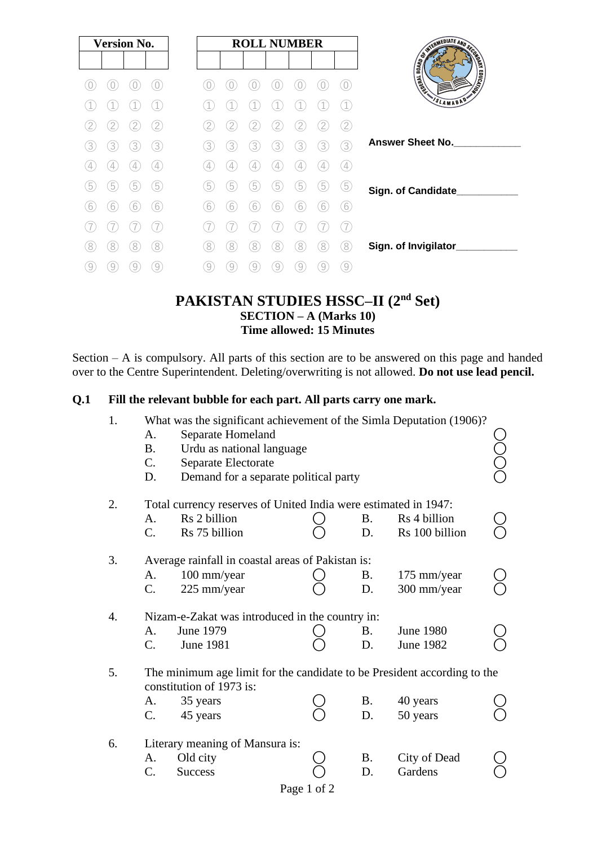| <b>Version No.</b> |   |   |                  |   |                |                 | <b>ROLL NUMBER</b> |   |   |                  |                                                                                                                                                                                                                                      |
|--------------------|---|---|------------------|---|----------------|-----------------|--------------------|---|---|------------------|--------------------------------------------------------------------------------------------------------------------------------------------------------------------------------------------------------------------------------------|
|                    |   |   |                  |   |                |                 |                    |   |   |                  | <b>REGISTRATION AND SCRIPTION OF STRATEGICAL CONDUCTION OF STRATEGICAL CONDUCTION OF STRATEGICAL CONDUCTION OF STRATEGICAL CONDUCTION OF STRATEGICAL CONDUCTION OF STRATEGICAL CONDUCTION OF STRATEGICAL CONDUCTION OF STRATEGIC</b> |
|                    |   |   |                  |   |                |                 |                    |   |   |                  |                                                                                                                                                                                                                                      |
|                    |   |   |                  |   |                |                 |                    |   |   |                  | SLAMABAD                                                                                                                                                                                                                             |
|                    |   |   | 2                | 2 | 2              | 2               | 2                  | 2 |   | <u>′2</u>        |                                                                                                                                                                                                                                      |
| 3                  | 3 | 3 | 3                | 3 | 3              | 3               | 3                  | 3 | 3 | 3                | <b>Answer Sheet No.</b>                                                                                                                                                                                                              |
|                    | 4 |   | $\frac{1}{2}$    | 4 | $\frac{1}{2}$  | 4               | 4                  |   |   | $\frac{1}{2}$    |                                                                                                                                                                                                                                      |
| 5                  | 5 | 5 | 5                | 5 | $\overline{5}$ | $\widetilde{5}$ | 5                  | 5 | 5 | 5                | Sign. of Candidate                                                                                                                                                                                                                   |
| 6                  | 6 | 6 | 6                | 6 | 6              | 6               | 6                  | 6 | 6 | 6                |                                                                                                                                                                                                                                      |
|                    |   |   |                  |   |                |                 |                    |   |   | 7                |                                                                                                                                                                                                                                      |
| 8                  | 8 | 8 | 8                | 8 | 8              | 8               | 8                  | 8 | 8 | 8                | Sign. of Invigilator_                                                                                                                                                                                                                |
| 9                  | 9 | 9 | $\left[9\right]$ | 9 | 9              | 9               | 9                  | 9 | 9 | $\left[9\right]$ |                                                                                                                                                                                                                                      |

## **PAKISTAN STUDIES HSSC–II (2nd Set) SECTION – A (Marks 10) Time allowed: 15 Minutes**

Section – A is compulsory. All parts of this section are to be answered on this page and handed over to the Centre Superintendent. Deleting/overwriting is not allowed. **Do not use lead pencil.**

#### **Q.1 Fill the relevant bubble for each part. All parts carry one mark.**

| 1.               | A.<br><b>B.</b><br>C.<br>D.                                                                          | What was the significant achievement of the Simla Deputation (1906)?<br>Separate Homeland<br>Urdu as national language<br>Separate Electorate<br>Demand for a separate political party |  |                 |                                      |  |  |  |  |  |
|------------------|------------------------------------------------------------------------------------------------------|----------------------------------------------------------------------------------------------------------------------------------------------------------------------------------------|--|-----------------|--------------------------------------|--|--|--|--|--|
| 2.               |                                                                                                      | Total currency reserves of United India were estimated in 1947:                                                                                                                        |  |                 |                                      |  |  |  |  |  |
|                  | A.<br>$C_{\cdot}$                                                                                    | Rs 2 billion<br>Rs 75 billion                                                                                                                                                          |  | <b>B.</b><br>D. | Rs 4 billion<br>Rs 100 billion       |  |  |  |  |  |
| 3.               | Average rainfall in coastal areas of Pakistan is:                                                    |                                                                                                                                                                                        |  |                 |                                      |  |  |  |  |  |
|                  | A.<br>C.                                                                                             | 100 mm/year<br>225 mm/year                                                                                                                                                             |  | <b>B.</b><br>D. | 175 mm/year<br>300 mm/year           |  |  |  |  |  |
| $\overline{4}$ . |                                                                                                      | Nizam-e-Zakat was introduced in the country in:                                                                                                                                        |  |                 |                                      |  |  |  |  |  |
|                  | A.<br>$\mathcal{C}$ .                                                                                | June 1979<br><b>June 1981</b>                                                                                                                                                          |  | <b>B.</b><br>D. | <b>June 1980</b><br><b>June 1982</b> |  |  |  |  |  |
| 5.               | The minimum age limit for the candidate to be President according to the<br>constitution of 1973 is: |                                                                                                                                                                                        |  |                 |                                      |  |  |  |  |  |
|                  | A.                                                                                                   | 35 years                                                                                                                                                                               |  | <b>B.</b>       | 40 years                             |  |  |  |  |  |
|                  | $\mathcal{C}$ .                                                                                      | 45 years                                                                                                                                                                               |  | D.              | 50 years                             |  |  |  |  |  |
| 6.               | Literary meaning of Mansura is:                                                                      |                                                                                                                                                                                        |  |                 |                                      |  |  |  |  |  |
|                  | A.                                                                                                   | Old city                                                                                                                                                                               |  | <b>B.</b>       | City of Dead                         |  |  |  |  |  |
|                  | C.                                                                                                   | <b>Success</b>                                                                                                                                                                         |  | D.              | Gardens                              |  |  |  |  |  |
|                  | Page 1 of 2                                                                                          |                                                                                                                                                                                        |  |                 |                                      |  |  |  |  |  |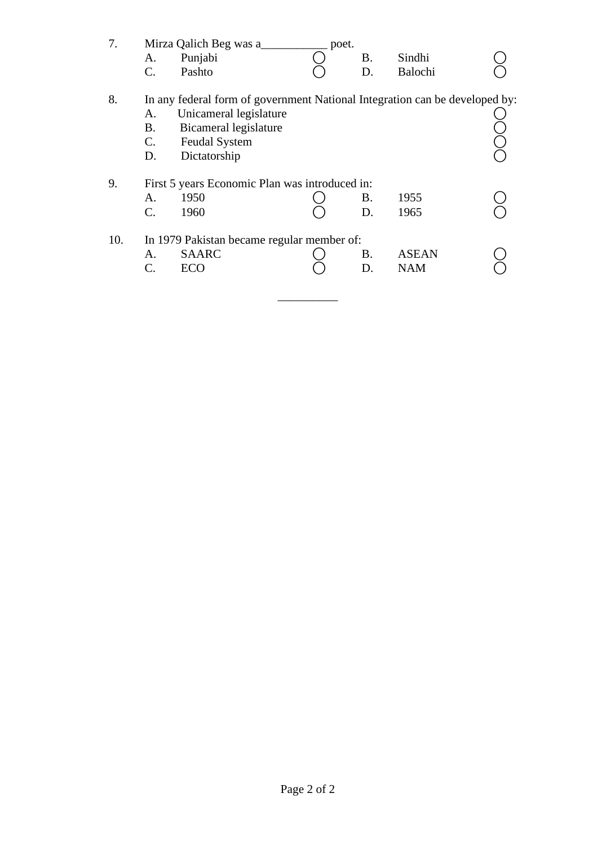| 7.  | A.<br>C.                         | Mirza Qalich Beg was a<br>Punjabi<br>Pashto                                                                                                                            | poet. | <b>B.</b><br>D. | Sindhi<br>Balochi          |  |
|-----|----------------------------------|------------------------------------------------------------------------------------------------------------------------------------------------------------------------|-------|-----------------|----------------------------|--|
| 8.  | А.<br>B.<br>$\mathbf{C}$ .<br>D. | In any federal form of government National Integration can be developed by:<br>Unicameral legislature<br>Bicameral legislature<br><b>Feudal System</b><br>Dictatorship |       |                 |                            |  |
| 9.  | A.<br>$C_{\cdot}$                | First 5 years Economic Plan was introduced in:<br>1950<br>1960                                                                                                         |       | <b>B.</b><br>D. | 1955<br>1965               |  |
| 10. | A.<br>C.                         | In 1979 Pakistan became regular member of:<br><b>SAARC</b><br><b>ECO</b>                                                                                               |       | <b>B.</b><br>D. | <b>ASEAN</b><br><b>NAM</b> |  |

 $\frac{1}{\sqrt{2}}$  ,  $\frac{1}{\sqrt{2}}$  ,  $\frac{1}{\sqrt{2}}$  ,  $\frac{1}{\sqrt{2}}$  ,  $\frac{1}{\sqrt{2}}$  ,  $\frac{1}{\sqrt{2}}$  ,  $\frac{1}{\sqrt{2}}$  ,  $\frac{1}{\sqrt{2}}$  ,  $\frac{1}{\sqrt{2}}$  ,  $\frac{1}{\sqrt{2}}$  ,  $\frac{1}{\sqrt{2}}$  ,  $\frac{1}{\sqrt{2}}$  ,  $\frac{1}{\sqrt{2}}$  ,  $\frac{1}{\sqrt{2}}$  ,  $\frac{1}{\sqrt{2}}$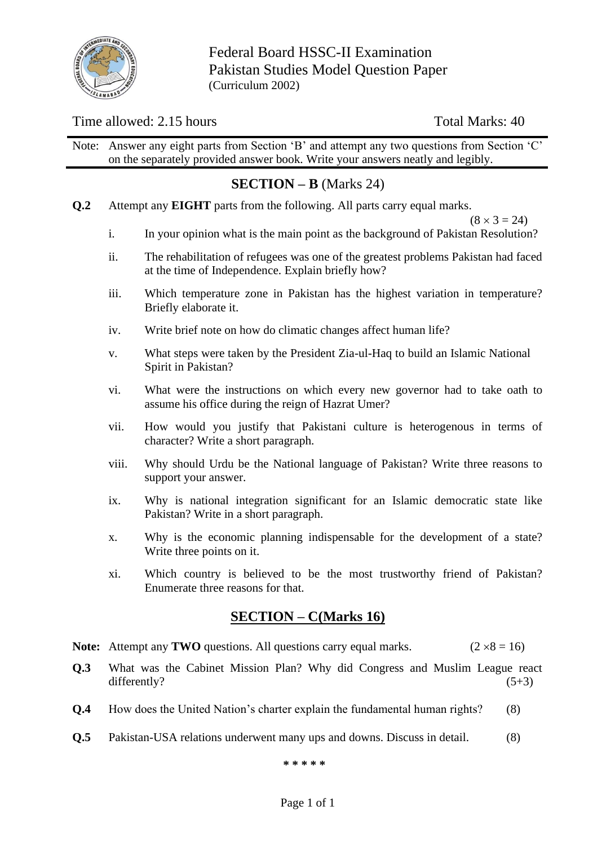

Federal Board HSSC-II Examination Pakistan Studies Model Question Paper (Curriculum 2002)

#### Time allowed: 2.15 hours Total Marks: 40

Note: Answer any eight parts from Section 'B' and attempt any two questions from Section 'C' on the separately provided answer book. Write your answers neatly and legibly.

## **SECTION – B** (Marks 24)

**Q.2** Attempt any **EIGHT** parts from the following. All parts carry equal marks.

 $(8 \times 3 = 24)$ 

- i. In your opinion what is the main point as the background of Pakistan Resolution?
- ii. The rehabilitation of refugees was one of the greatest problems Pakistan had faced at the time of Independence. Explain briefly how?
- iii. Which temperature zone in Pakistan has the highest variation in temperature? Briefly elaborate it.
- iv. Write brief note on how do climatic changes affect human life?
- v. What steps were taken by the President Zia-ul-Haq to build an Islamic National Spirit in Pakistan?
- vi. What were the instructions on which every new governor had to take oath to assume his office during the reign of Hazrat Umer?
- vii. How would you justify that Pakistani culture is heterogenous in terms of character? Write a short paragraph.
- viii. Why should Urdu be the National language of Pakistan? Write three reasons to support your answer.
- ix. Why is national integration significant for an Islamic democratic state like Pakistan? Write in a short paragraph.
- x. Why is the economic planning indispensable for the development of a state? Write three points on it.
- xi. Which country is believed to be the most trustworthy friend of Pakistan? Enumerate three reasons for that.

## **SECTION – C(Marks 16)**

- **Note:** Attempt any **TWO** questions. All questions carry equal marks. ( $2 \times 8 = 16$ )
- **Q.3** What was the Cabinet Mission Plan? Why did Congress and Muslim League react differently?  $(5+3)$
- **Q.4** How does the United Nation's charter explain the fundamental human rights? (8)
- **Q.5** Pakistan-USA relations underwent many ups and downs. Discuss in detail. (8)

**\* \* \* \* \***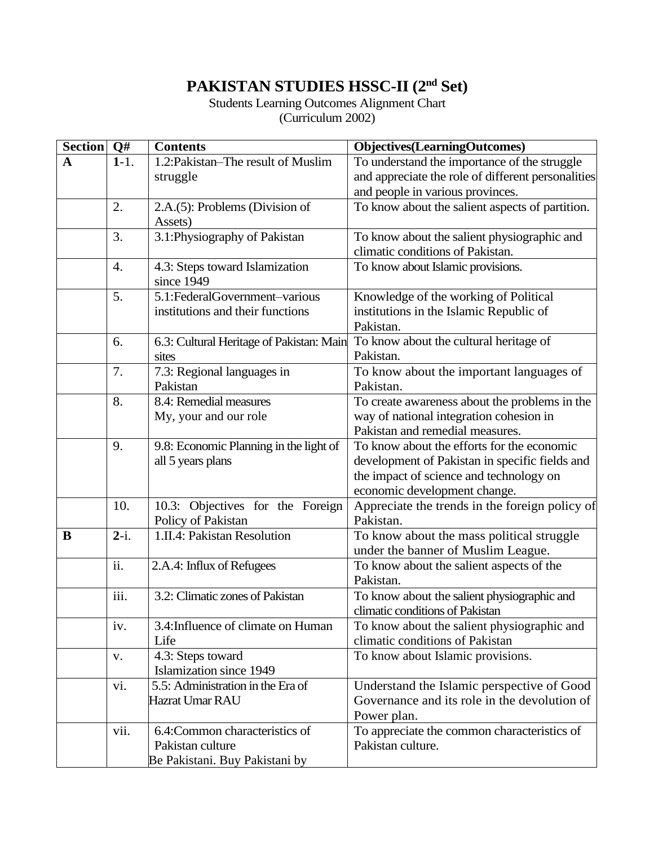# **PAKISTAN STUDIES HSSC-II (2nd Set)**

Students Learning Outcomes Alignment Chart (Curriculum 2002)

| Section Q#  |           | <b>Contents</b>                              | <b>Objectives</b> (LearningOutcomes)                                           |
|-------------|-----------|----------------------------------------------|--------------------------------------------------------------------------------|
| $\mathbf A$ | $1 - 1$ . | $1.2$ : Pakistan–The result of Muslim        | To understand the importance of the struggle                                   |
|             |           | struggle                                     | and appreciate the role of different personalities                             |
|             |           |                                              | and people in various provinces.                                               |
|             | 2.        | 2.A.(5): Problems (Division of               | To know about the salient aspects of partition.                                |
|             |           | Assets)                                      |                                                                                |
|             | 3.        | 3.1: Physiography of Pakistan                | To know about the salient physiographic and                                    |
|             |           |                                              | climatic conditions of Pakistan.                                               |
|             | 4.        | 4.3: Steps toward Islamization<br>since 1949 | To know about Islamic provisions.                                              |
|             | 5.        | 5.1:FederalGovernment-various                | Knowledge of the working of Political                                          |
|             |           | institutions and their functions             | institutions in the Islamic Republic of                                        |
|             |           |                                              | Pakistan.                                                                      |
|             | 6.        | 6.3: Cultural Heritage of Pakistan: Main     | To know about the cultural heritage of                                         |
|             |           | sites                                        | Pakistan.                                                                      |
|             | 7.        | 7.3: Regional languages in                   | To know about the important languages of                                       |
|             |           | Pakistan                                     | Pakistan.                                                                      |
|             | 8.        | 8.4: Remedial measures                       | To create awareness about the problems in the                                  |
|             |           | My, your and our role                        | way of national integration cohesion in                                        |
|             |           |                                              | Pakistan and remedial measures.                                                |
|             | 9.        | 9.8: Economic Planning in the light of       | To know about the efforts for the economic                                     |
|             |           | all 5 years plans                            | development of Pakistan in specific fields and                                 |
|             |           |                                              | the impact of science and technology on                                        |
|             |           |                                              | economic development change.                                                   |
|             | 10.       | 10.3: Objectives for the Foreign             | Appreciate the trends in the foreign policy of                                 |
|             |           | Policy of Pakistan                           | Pakistan.                                                                      |
| B           | $2-i.$    | 1.II.4: Pakistan Resolution                  | To know about the mass political struggle                                      |
|             |           |                                              | under the banner of Muslim League.                                             |
|             | ii.       | 2.A.4: Influx of Refugees                    | To know about the salient aspects of the                                       |
|             | iii.      | 3.2: Climatic zones of Pakistan              | Pakistan.                                                                      |
|             |           |                                              | To know about the salient physiographic and<br>climatic conditions of Pakistan |
|             | iv.       | 3.4: Influence of climate on Human           | To know about the salient physiographic and                                    |
|             |           | Life                                         | climatic conditions of Pakistan                                                |
|             | V.        | 4.3: Steps toward                            | To know about Islamic provisions.                                              |
|             |           | Islamization since 1949                      |                                                                                |
|             | vi.       | 5.5: Administration in the Era of            | Understand the Islamic perspective of Good                                     |
|             |           | Hazrat Umar RAU                              | Governance and its role in the devolution of                                   |
|             |           |                                              | Power plan.                                                                    |
|             | vii.      | 6.4: Common characteristics of               | To appreciate the common characteristics of                                    |
|             |           | Pakistan culture                             | Pakistan culture.                                                              |
|             |           | Be Pakistani. Buy Pakistani by               |                                                                                |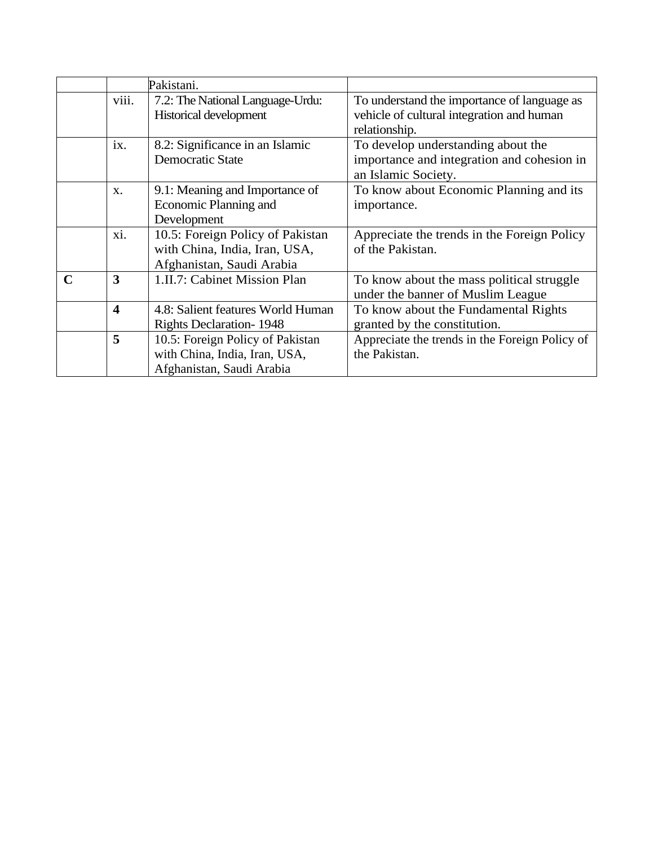|             |                         | Pakistani.                        |                                                |
|-------------|-------------------------|-----------------------------------|------------------------------------------------|
|             | viii.                   | 7.2: The National Language-Urdu:  | To understand the importance of language as    |
|             |                         | Historical development            | vehicle of cultural integration and human      |
|             |                         |                                   | relationship.                                  |
|             | ix.                     | 8.2: Significance in an Islamic   | To develop understanding about the             |
|             |                         | <b>Democratic State</b>           | importance and integration and cohesion in     |
|             |                         |                                   | an Islamic Society.                            |
|             | X.                      | 9.1: Meaning and Importance of    | To know about Economic Planning and its        |
|             |                         | Economic Planning and             | importance.                                    |
|             |                         | Development                       |                                                |
|             | xi.                     | 10.5: Foreign Policy of Pakistan  | Appreciate the trends in the Foreign Policy    |
|             |                         | with China, India, Iran, USA,     | of the Pakistan.                               |
|             |                         | Afghanistan, Saudi Arabia         |                                                |
| $\mathbf C$ | 3                       | 1.II.7: Cabinet Mission Plan      | To know about the mass political struggle      |
|             |                         |                                   | under the banner of Muslim League              |
|             | $\overline{\mathbf{4}}$ | 4.8: Salient features World Human | To know about the Fundamental Rights           |
|             |                         | <b>Rights Declaration-1948</b>    | granted by the constitution.                   |
|             | 5                       | 10.5: Foreign Policy of Pakistan  | Appreciate the trends in the Foreign Policy of |
|             |                         | with China, India, Iran, USA,     | the Pakistan.                                  |
|             |                         | Afghanistan, Saudi Arabia         |                                                |